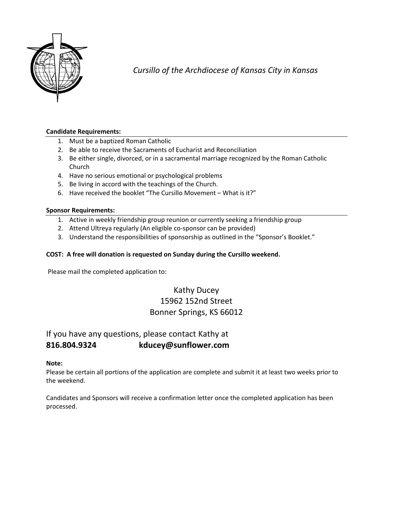

*Cursillo of the Archdiocese of Kansas City in Kansas*

## **Candidate Requirements:**

- 1. Must be a baptized Roman Catholic
- 2. Be able to receive the Sacraments of Eucharist and Reconciliation
- 3. Be either single, divorced, or in a sacramental marriage recognized by the Roman Catholic Church
- 4. Have no serious emotional or psychological problems
- 5. Be living in accord with the teachings of the Church.
- 6. Have received the booklet "The Cursillo Movement What is it?"

#### **Sponsor Requirements:**

- 1. Active in weekly friendship group reunion or currently seeking a friendship group
- 2. Attend Ultreya regularly (An eligible co-sponsor can be provided)
- 3. Understand the responsibilities of sponsorship as outlined in the "Sponsor's Booklet."

### **COST: A free will donation is requested on Sunday during the Cursillo weekend.**

Please mail the completed application to:

# Kathy Ducey 15962 152nd Street Bonner Springs, KS 66012

# If you have any questions, please contact Kathy at **816.804.9324 kducey@sunflower.com**

#### **Note:**

Please be certain all portions of the application are complete and submit it at least two weeks prior to the weekend.

Candidates and Sponsors will receive a confirmation letter once the completed application has been processed.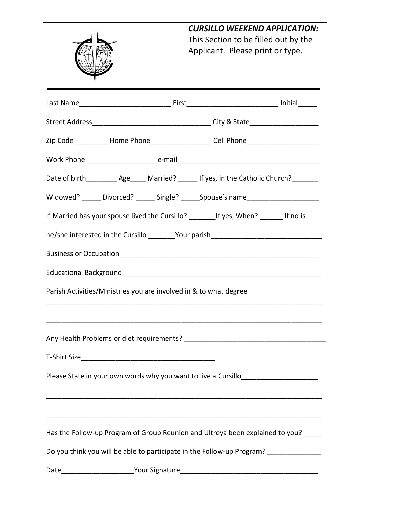|                                                                                         | <b>CURSILLO WEEKEND APPLICATION:</b> |  |
|-----------------------------------------------------------------------------------------|--------------------------------------|--|
|                                                                                         | This Section to be filled out by the |  |
|                                                                                         | Applicant. Please print or type.     |  |
|                                                                                         |                                      |  |
|                                                                                         |                                      |  |
|                                                                                         |                                      |  |
|                                                                                         |                                      |  |
|                                                                                         |                                      |  |
| Zip Code____________ Home Phone______________________Cell Phone__________________       |                                      |  |
|                                                                                         |                                      |  |
| Date of birth Age Married? If yes, in the Catholic Church?                              |                                      |  |
|                                                                                         |                                      |  |
| Widowed? _____ Divorced? _____ Single? _____ Spouse's name _____________________        |                                      |  |
| If Married has your spouse lived the Cursillo? _________ If yes, When? _______ If no is |                                      |  |
| he/she interested in the Cursillo ________Your parish___________________________        |                                      |  |
|                                                                                         |                                      |  |
|                                                                                         |                                      |  |
|                                                                                         |                                      |  |
| Parish Activities/Ministries you are involved in & to what degree                       |                                      |  |
|                                                                                         |                                      |  |
|                                                                                         |                                      |  |
|                                                                                         |                                      |  |
|                                                                                         |                                      |  |
| Please State in your own words why you want to live a Cursillo__________________        |                                      |  |
|                                                                                         |                                      |  |
|                                                                                         |                                      |  |
|                                                                                         |                                      |  |
| Has the Follow-up Program of Group Reunion and Ultreya been explained to you?           |                                      |  |
| Do you think you will be able to participate in the Follow-up Program?                  |                                      |  |
|                                                                                         |                                      |  |